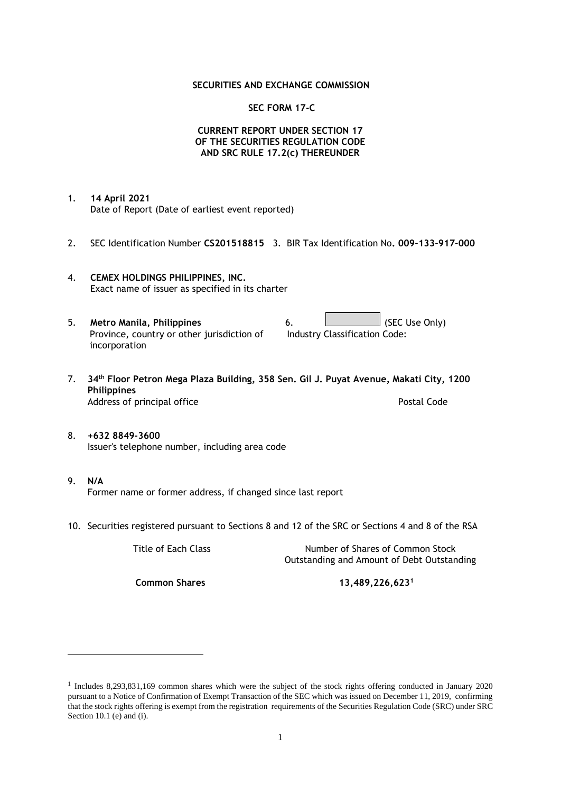## **SECURITIES AND EXCHANGE COMMISSION**

## **SEC FORM 17-C**

## **CURRENT REPORT UNDER SECTION 17 OF THE SECURITIES REGULATION CODE AND SRC RULE 17.2(c) THEREUNDER**

- 1. **14 April 2021** Date of Report (Date of earliest event reported)
- 2. SEC Identification Number **CS201518815** 3. BIR Tax Identification No**. 009-133-917-000**
- 4. **CEMEX HOLDINGS PHILIPPINES, INC.** Exact name of issuer as specified in its charter
- 5. **Metro Manila, Philippines** 6. **Consumers 6.** (SEC Use Only) Province, country or other jurisdiction of incorporation Industry Classification Code:
- 7. **34th Floor Petron Mega Plaza Building, 358 Sen. Gil J. Puyat Avenue, Makati City, 1200 Philippines** Address of principal office **Postal Code** Postal Code
- 8. **+632 8849-3600** Issuer's telephone number, including area code
- 9. **N/A** Former name or former address, if changed since last report
- 10. Securities registered pursuant to Sections 8 and 12 of the SRC or Sections 4 and 8 of the RSA

Title of Each Class Number of Shares of Common Stock Outstanding and Amount of Debt Outstanding

**Common Shares 13,489,226,623<sup>1</sup>**

<sup>1</sup> Includes 8,293,831,169 common shares which were the subject of the stock rights offering conducted in January 2020 pursuant to a Notice of Confirmation of Exempt Transaction of the SEC which was issued on December 11, 2019, confirming that the stock rights offering is exempt from the registration requirements of the Securities Regulation Code (SRC) under SRC Section 10.1 (e) and (i).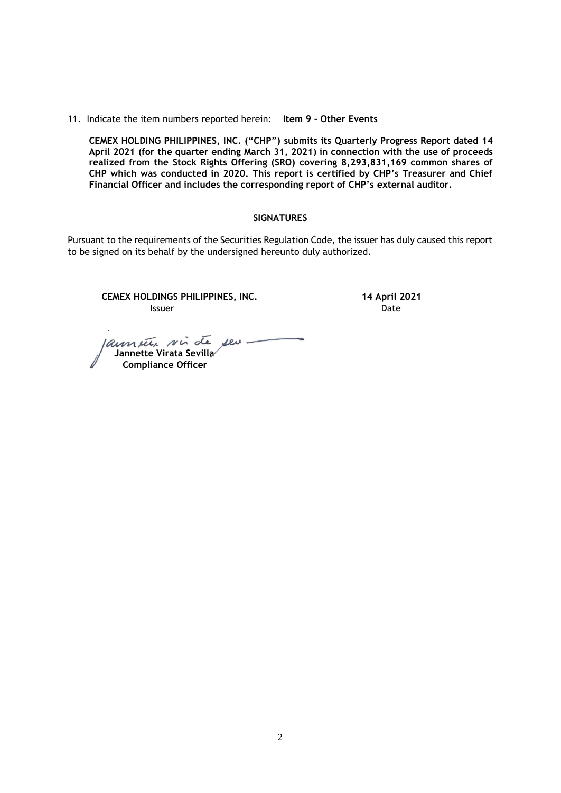11. Indicate the item numbers reported herein: **Item 9 - Other Events**

**CEMEX HOLDING PHILIPPINES, INC. ("CHP") submits its Quarterly Progress Report dated 14 April 2021 (for the quarter ending March 31, 2021) in connection with the use of proceeds realized from the Stock Rights Offering (SRO) covering 8,293,831,169 common shares of CHP which was conducted in 2020. This report is certified by CHP's Treasurer and Chief Financial Officer and includes the corresponding report of CHP's external auditor.** 

### **SIGNATURES**

Pursuant to the requirements of the Securities Regulation Code, the issuer has duly caused this report to be signed on its behalf by the undersigned hereunto duly authorized.

**CEMEX HOLDINGS PHILIPPINES, INC. 14 April 2021 Issuer Date** 

aument vir de ses  **Jannette Virata Sevilla Compliance Officer**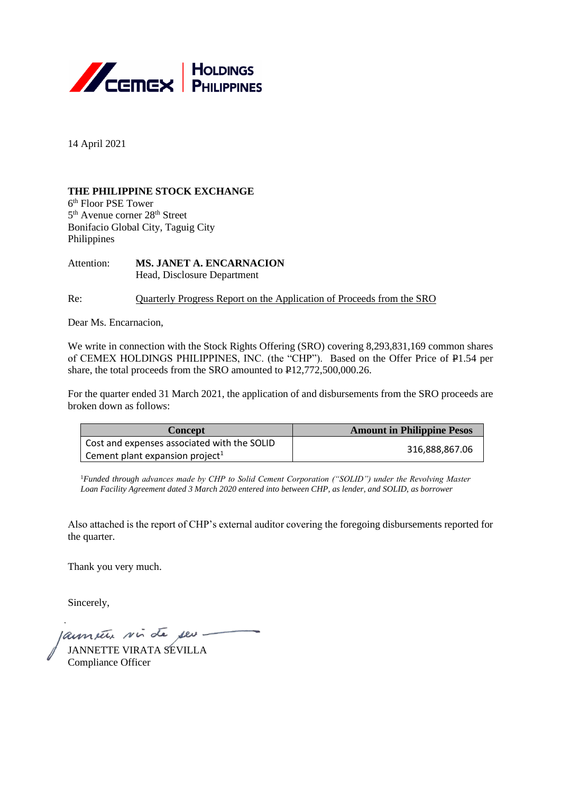

14 April 2021

# **THE PHILIPPINE STOCK EXCHANGE**

6 th Floor PSE Tower 5<sup>th</sup> Avenue corner 28<sup>th</sup> Street Bonifacio Global City, Taguig City Philippines

Attention: **MS. JANET A. ENCARNACION** Head, Disclosure Department

Re: Quarterly Progress Report on the Application of Proceeds from the SRO

Dear Ms. Encarnacion,

We write in connection with the Stock Rights Offering (SRO) covering 8.293,831,169 common shares of CEMEX HOLDINGS PHILIPPINES, INC. (the "CHP"). Based on the Offer Price of P1.54 per share, the total proceeds from the SRO amounted to P12,772,500,000.26.

For the quarter ended 31 March 2021, the application of and disbursements from the SRO proceeds are broken down as follows:

| <b>Concept</b>                              | <b>Amount in Philippine Pesos</b> |  |
|---------------------------------------------|-----------------------------------|--|
| Cost and expenses associated with the SOLID | 316.888.867.06                    |  |
| Cement plant expansion project <sup>1</sup> |                                   |  |

<sup>1</sup>Funded through advances made by CHP to Solid Cement Corporation ("SOLID") under the Revolving Master *Loan Facility Agreement dated 3 March 2020 entered into between CHP, as lender, and SOLID, as borrower*

Also attached is the report of CHP's external auditor covering the foregoing disbursements reported for the quarter.

Thank you very much.

Sincerely,

annate sin de seu -

JANNETTE VIRATA SEVILLA Compliance Officer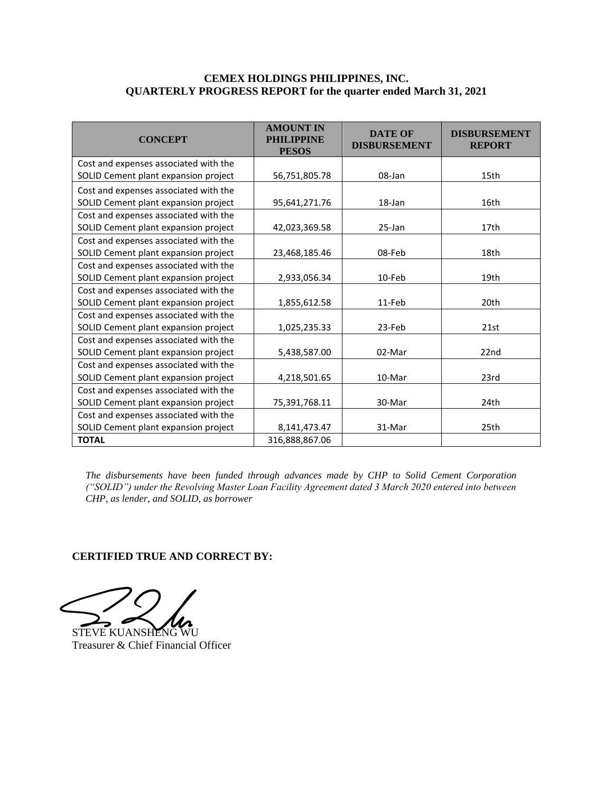## **CEMEX HOLDINGS PHILIPPINES, INC. QUARTERLY PROGRESS REPORT for the quarter ended March 31, 2021**

| <b>CONCEPT</b>                        | <b>AMOUNT IN</b><br><b>PHILIPPINE</b><br><b>PESOS</b> | <b>DATE OF</b><br><b>DISBURSEMENT</b> | <b>DISBURSEMENT</b><br><b>REPORT</b> |
|---------------------------------------|-------------------------------------------------------|---------------------------------------|--------------------------------------|
| Cost and expenses associated with the |                                                       |                                       |                                      |
| SOLID Cement plant expansion project  | 56,751,805.78                                         | 08-Jan                                | 15th                                 |
| Cost and expenses associated with the |                                                       |                                       |                                      |
| SOLID Cement plant expansion project  | 95,641,271.76                                         | 18-Jan                                | 16th                                 |
| Cost and expenses associated with the |                                                       |                                       |                                      |
| SOLID Cement plant expansion project  | 42,023,369.58                                         | $25$ -Jan                             | 17th                                 |
| Cost and expenses associated with the |                                                       |                                       |                                      |
| SOLID Cement plant expansion project  | 23,468,185.46                                         | 08-Feb                                | 18th                                 |
| Cost and expenses associated with the |                                                       |                                       |                                      |
| SOLID Cement plant expansion project  | 2,933,056.34                                          | 10-Feb                                | 19th                                 |
| Cost and expenses associated with the |                                                       |                                       |                                      |
| SOLID Cement plant expansion project  | 1,855,612.58                                          | 11-Feb                                | 20th                                 |
| Cost and expenses associated with the |                                                       |                                       |                                      |
| SOLID Cement plant expansion project  | 1,025,235.33                                          | 23-Feb                                | 21st                                 |
| Cost and expenses associated with the |                                                       |                                       |                                      |
| SOLID Cement plant expansion project  | 5,438,587.00                                          | 02-Mar                                | 22nd                                 |
| Cost and expenses associated with the |                                                       |                                       |                                      |
| SOLID Cement plant expansion project  | 4,218,501.65                                          | 10-Mar                                | 23rd                                 |
| Cost and expenses associated with the |                                                       |                                       |                                      |
| SOLID Cement plant expansion project  | 75,391,768.11                                         | 30-Mar                                | 24th                                 |
| Cost and expenses associated with the |                                                       |                                       |                                      |
| SOLID Cement plant expansion project  | 8,141,473.47                                          | 31-Mar                                | 25th                                 |
| <b>TOTAL</b>                          | 316,888,867.06                                        |                                       |                                      |

*The disbursements have been funded through advances made by CHP to Solid Cement Corporation ("SOLID") under the Revolving Master Loan Facility Agreement dated 3 March 2020 entered into between CHP, as lender, and SOLID, as borrower*

# **CERTIFIED TRUE AND CORRECT BY:**

STEVE KUANSHENG WU

Treasurer & Chief Financial Officer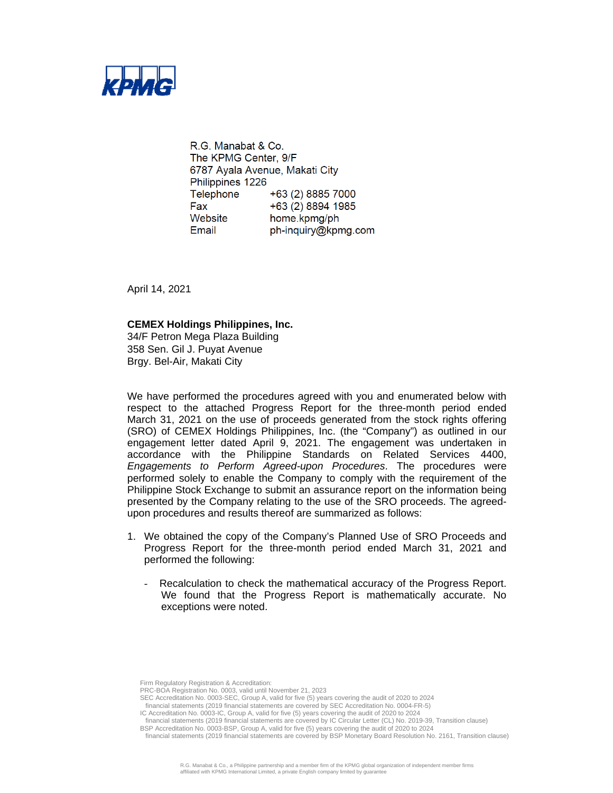

R.G. Manabat & Co. The KPMG Center, 9/F 6787 Ayala Avenue, Makati City Philippines 1226 Telephone +63 (2) 8885 7000 Fax +63 (2) 8894 1985 Website home.kpmg/ph Email ph-inquiry@kpmg.com

April 14, 2021

### **CEMEX Holdings Philippines, Inc.**

34/F Petron Mega Plaza Building 358 Sen. Gil J. Puyat Avenue Brgy. Bel-Air, Makati City

We have performed the procedures agreed with you and enumerated below with respect to the attached Progress Report for the three-month period ended March 31, 2021 on the use of proceeds generated from the stock rights offering (SRO) of CEMEX Holdings Philippines, Inc. (the "Company") as outlined in our engagement letter dated April 9, 2021. The engagement was undertaken in accordance with the Philippine Standards on Related Services 4400, *Engagements to Perform Agreed-upon Procedures*. The procedures were performed solely to enable the Company to comply with the requirement of the Philippine Stock Exchange to submit an assurance report on the information being presented by the Company relating to the use of the SRO proceeds. The agreedupon procedures and results thereof are summarized as follows:

- 1. We obtained the copy of the Company's Planned Use of SRO Proceeds and Progress Report for the three-month period ended March 31, 2021 and performed the following:
	- Recalculation to check the mathematical accuracy of the Progress Report. We found that the Progress Report is mathematically accurate. No exceptions were noted.

Firm Regulatory Registration & Accreditation:

SEC Accreditation No. 0003-SEC, Group A, valid for five (5) years covering the audit of 2020 to 2024

financial statements (2019 financial statements are covered by SEC Accreditation No. 0004-FR-5)

IC Accreditation No. 0003-IC, Group A, valid for five (5) years covering the audit of 2020 to 2024

financial statements (2019 financial statements are covered by IC Circular Letter (CL) No. 2019-39, Transition clause)

PRC-BOA Registration No. 0003, valid until November 21, 2023

BSP Accreditation No. 0003-BSP, Group A, valid for five (5) years covering the audit of 2020 to 2024 financial statements (2019 financial statements are covered by BSP Monetary Board Resolution No. 2161, Transition clause)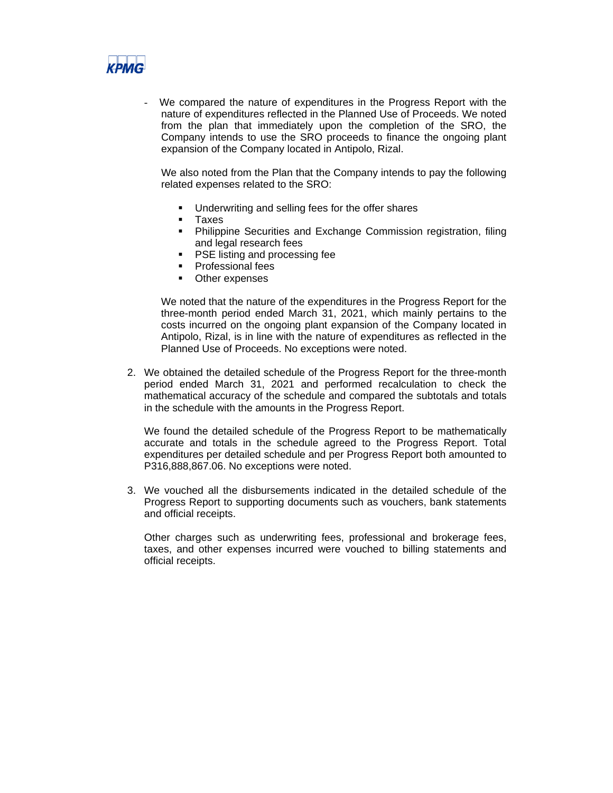

We compared the nature of expenditures in the Progress Report with the nature of expenditures reflected in the Planned Use of Proceeds. We noted from the plan that immediately upon the completion of the SRO, the Company intends to use the SRO proceeds to finance the ongoing plant expansion of the Company located in Antipolo, Rizal.

We also noted from the Plan that the Company intends to pay the following related expenses related to the SRO:

- Underwriting and selling fees for the offer shares
- **Taxes**
- Philippine Securities and Exchange Commission registration, filing and legal research fees
- PSE listing and processing fee
- **Professional fees**
- Other expenses

We noted that the nature of the expenditures in the Progress Report for the three-month period ended March 31, 2021, which mainly pertains to the costs incurred on the ongoing plant expansion of the Company located in Antipolo, Rizal, is in line with the nature of expenditures as reflected in the Planned Use of Proceeds. No exceptions were noted.

2. We obtained the detailed schedule of the Progress Report for the three-month period ended March 31, 2021 and performed recalculation to check the mathematical accuracy of the schedule and compared the subtotals and totals in the schedule with the amounts in the Progress Report.

We found the detailed schedule of the Progress Report to be mathematically accurate and totals in the schedule agreed to the Progress Report. Total expenditures per detailed schedule and per Progress Report both amounted to P316,888,867.06. No exceptions were noted.

3. We vouched all the disbursements indicated in the detailed schedule of the Progress Report to supporting documents such as vouchers, bank statements and official receipts.

Other charges such as underwriting fees, professional and brokerage fees, taxes, and other expenses incurred were vouched to billing statements and official receipts.